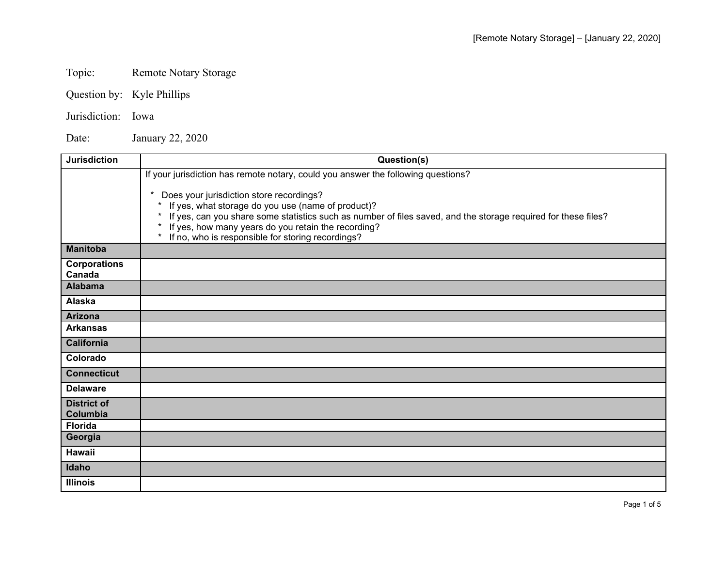## Topic: Remote Notary Storage

Question by: Kyle Phillips

## Jurisdiction: Iowa

Date: January 22, 2020

| <b>Jurisdiction</b> | Question(s)                                                                                                              |
|---------------------|--------------------------------------------------------------------------------------------------------------------------|
|                     | If your jurisdiction has remote notary, could you answer the following questions?                                        |
|                     | Does your jurisdiction store recordings?                                                                                 |
|                     | If yes, what storage do you use (name of product)?                                                                       |
|                     | If yes, can you share some statistics such as number of files saved, and the storage required for these files?           |
|                     | * If yes, how many years do you retain the recording?<br>If no, who is responsible for storing recordings?<br>$^{\star}$ |
| <b>Manitoba</b>     |                                                                                                                          |
| <b>Corporations</b> |                                                                                                                          |
| Canada              |                                                                                                                          |
| <b>Alabama</b>      |                                                                                                                          |
| Alaska              |                                                                                                                          |
| Arizona             |                                                                                                                          |
| <b>Arkansas</b>     |                                                                                                                          |
| California          |                                                                                                                          |
| Colorado            |                                                                                                                          |
| <b>Connecticut</b>  |                                                                                                                          |
| <b>Delaware</b>     |                                                                                                                          |
| <b>District of</b>  |                                                                                                                          |
| Columbia            |                                                                                                                          |
| <b>Florida</b>      |                                                                                                                          |
| Georgia             |                                                                                                                          |
| <b>Hawaii</b>       |                                                                                                                          |
| Idaho               |                                                                                                                          |
| <b>Illinois</b>     |                                                                                                                          |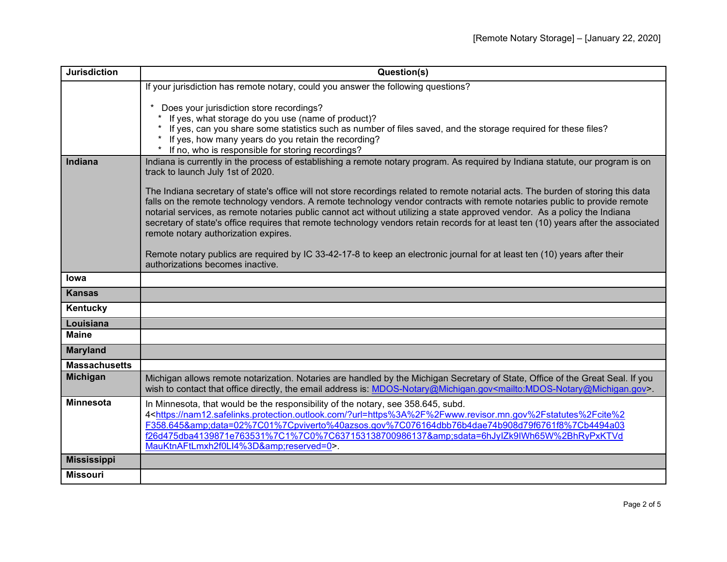| <b>Jurisdiction</b>  | Question(s)                                                                                                                                                                                                                                                                                                                                                                                                                                                                                                                                                                   |
|----------------------|-------------------------------------------------------------------------------------------------------------------------------------------------------------------------------------------------------------------------------------------------------------------------------------------------------------------------------------------------------------------------------------------------------------------------------------------------------------------------------------------------------------------------------------------------------------------------------|
|                      | If your jurisdiction has remote notary, could you answer the following questions?                                                                                                                                                                                                                                                                                                                                                                                                                                                                                             |
|                      | Does your jurisdiction store recordings?                                                                                                                                                                                                                                                                                                                                                                                                                                                                                                                                      |
|                      | If yes, what storage do you use (name of product)?<br>If yes, can you share some statistics such as number of files saved, and the storage required for these files?                                                                                                                                                                                                                                                                                                                                                                                                          |
|                      | If yes, how many years do you retain the recording?<br>If no, who is responsible for storing recordings?                                                                                                                                                                                                                                                                                                                                                                                                                                                                      |
| Indiana              | Indiana is currently in the process of establishing a remote notary program. As required by Indiana statute, our program is on<br>track to launch July 1st of 2020.                                                                                                                                                                                                                                                                                                                                                                                                           |
|                      | The Indiana secretary of state's office will not store recordings related to remote notarial acts. The burden of storing this data<br>falls on the remote technology vendors. A remote technology vendor contracts with remote notaries public to provide remote<br>notarial services, as remote notaries public cannot act without utilizing a state approved vendor. As a policy the Indiana<br>secretary of state's office requires that remote technology vendors retain records for at least ten (10) years after the associated<br>remote notary authorization expires. |
|                      | Remote notary publics are required by IC 33-42-17-8 to keep an electronic journal for at least ten (10) years after their<br>authorizations becomes inactive.                                                                                                                                                                                                                                                                                                                                                                                                                 |
| <b>lowa</b>          |                                                                                                                                                                                                                                                                                                                                                                                                                                                                                                                                                                               |
| <b>Kansas</b>        |                                                                                                                                                                                                                                                                                                                                                                                                                                                                                                                                                                               |
| Kentucky             |                                                                                                                                                                                                                                                                                                                                                                                                                                                                                                                                                                               |
| Louisiana            |                                                                                                                                                                                                                                                                                                                                                                                                                                                                                                                                                                               |
| <b>Maine</b>         |                                                                                                                                                                                                                                                                                                                                                                                                                                                                                                                                                                               |
| <b>Maryland</b>      |                                                                                                                                                                                                                                                                                                                                                                                                                                                                                                                                                                               |
| <b>Massachusetts</b> |                                                                                                                                                                                                                                                                                                                                                                                                                                                                                                                                                                               |
| Michigan             | Michigan allows remote notarization. Notaries are handled by the Michigan Secretary of State, Office of the Great Seal. If you<br>wish to contact that office directly, the email address is: MDOS-Notary@Michigan.gov <mailto:mdos-notary@michigan.gov>.</mailto:mdos-notary@michigan.gov>                                                                                                                                                                                                                                                                                   |
| <b>Minnesota</b>     | In Minnesota, that would be the responsibility of the notary, see 358.645, subd.<br>4 <https: ?url="https%3A%2F%2Fwww.revisor.mn.gov%2Fstatutes%2Fcite%2&lt;br" nam12.safelinks.protection.outlook.com="">F358.645&amp;data=02%7C01%7Cpviverto%40azsos.gov%7C076164dbb76b4dae74b908d79f6761f8%7Cb4494a03<br/>f26d475dba4139871e763531%7C1%7C0%7C637153138700986137&amp;sdata=6hJylZk9lWh65W%2BhRyPxKTVd<br/>MauKtnAFtLmxh2f0LI4%3D&amp;reserved=0&gt;.</https:>                                                                                                               |
| <b>Mississippi</b>   |                                                                                                                                                                                                                                                                                                                                                                                                                                                                                                                                                                               |
| <b>Missouri</b>      |                                                                                                                                                                                                                                                                                                                                                                                                                                                                                                                                                                               |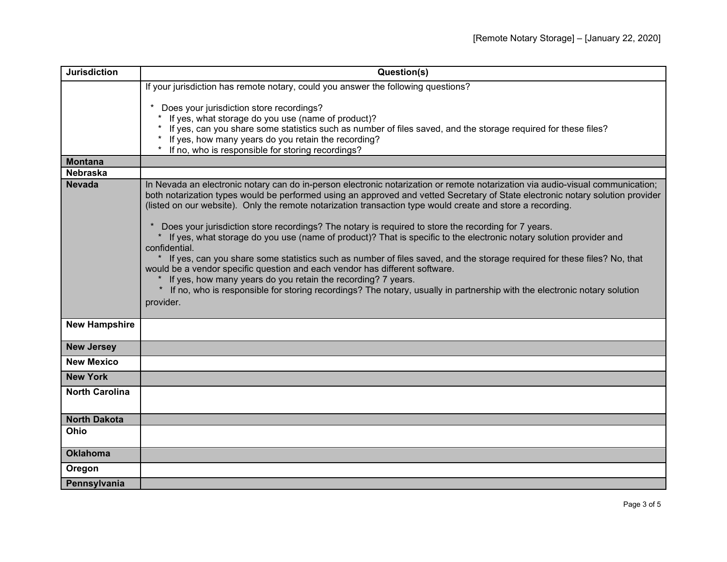| <b>Jurisdiction</b>   | Question(s)                                                                                                                                                                                                                                                                                                                                                                                                                                                                                                                                                                                                                                                                                                                                                                                                                                                                                                                                                                                                                                     |
|-----------------------|-------------------------------------------------------------------------------------------------------------------------------------------------------------------------------------------------------------------------------------------------------------------------------------------------------------------------------------------------------------------------------------------------------------------------------------------------------------------------------------------------------------------------------------------------------------------------------------------------------------------------------------------------------------------------------------------------------------------------------------------------------------------------------------------------------------------------------------------------------------------------------------------------------------------------------------------------------------------------------------------------------------------------------------------------|
|                       | If your jurisdiction has remote notary, could you answer the following questions?                                                                                                                                                                                                                                                                                                                                                                                                                                                                                                                                                                                                                                                                                                                                                                                                                                                                                                                                                               |
|                       | Does your jurisdiction store recordings?<br>* If yes, what storage do you use (name of product)?<br>If yes, can you share some statistics such as number of files saved, and the storage required for these files?<br>If yes, how many years do you retain the recording?<br>If no, who is responsible for storing recordings?                                                                                                                                                                                                                                                                                                                                                                                                                                                                                                                                                                                                                                                                                                                  |
| <b>Montana</b>        |                                                                                                                                                                                                                                                                                                                                                                                                                                                                                                                                                                                                                                                                                                                                                                                                                                                                                                                                                                                                                                                 |
| <b>Nebraska</b>       |                                                                                                                                                                                                                                                                                                                                                                                                                                                                                                                                                                                                                                                                                                                                                                                                                                                                                                                                                                                                                                                 |
| <b>Nevada</b>         | In Nevada an electronic notary can do in-person electronic notarization or remote notarization via audio-visual communication;<br>both notarization types would be performed using an approved and vetted Secretary of State electronic notary solution provider<br>(listed on our website). Only the remote notarization transaction type would create and store a recording.<br>Does your jurisdiction store recordings? The notary is required to store the recording for 7 years.<br>If yes, what storage do you use (name of product)? That is specific to the electronic notary solution provider and<br>confidential.<br>If yes, can you share some statistics such as number of files saved, and the storage required for these files? No, that<br>would be a vendor specific question and each vendor has different software.<br>If yes, how many years do you retain the recording? 7 years.<br>If no, who is responsible for storing recordings? The notary, usually in partnership with the electronic notary solution<br>provider. |
| <b>New Hampshire</b>  |                                                                                                                                                                                                                                                                                                                                                                                                                                                                                                                                                                                                                                                                                                                                                                                                                                                                                                                                                                                                                                                 |
| <b>New Jersey</b>     |                                                                                                                                                                                                                                                                                                                                                                                                                                                                                                                                                                                                                                                                                                                                                                                                                                                                                                                                                                                                                                                 |
| <b>New Mexico</b>     |                                                                                                                                                                                                                                                                                                                                                                                                                                                                                                                                                                                                                                                                                                                                                                                                                                                                                                                                                                                                                                                 |
| <b>New York</b>       |                                                                                                                                                                                                                                                                                                                                                                                                                                                                                                                                                                                                                                                                                                                                                                                                                                                                                                                                                                                                                                                 |
| <b>North Carolina</b> |                                                                                                                                                                                                                                                                                                                                                                                                                                                                                                                                                                                                                                                                                                                                                                                                                                                                                                                                                                                                                                                 |
| <b>North Dakota</b>   |                                                                                                                                                                                                                                                                                                                                                                                                                                                                                                                                                                                                                                                                                                                                                                                                                                                                                                                                                                                                                                                 |
| Ohio                  |                                                                                                                                                                                                                                                                                                                                                                                                                                                                                                                                                                                                                                                                                                                                                                                                                                                                                                                                                                                                                                                 |
| <b>Oklahoma</b>       |                                                                                                                                                                                                                                                                                                                                                                                                                                                                                                                                                                                                                                                                                                                                                                                                                                                                                                                                                                                                                                                 |
| Oregon                |                                                                                                                                                                                                                                                                                                                                                                                                                                                                                                                                                                                                                                                                                                                                                                                                                                                                                                                                                                                                                                                 |
| Pennsylvania          |                                                                                                                                                                                                                                                                                                                                                                                                                                                                                                                                                                                                                                                                                                                                                                                                                                                                                                                                                                                                                                                 |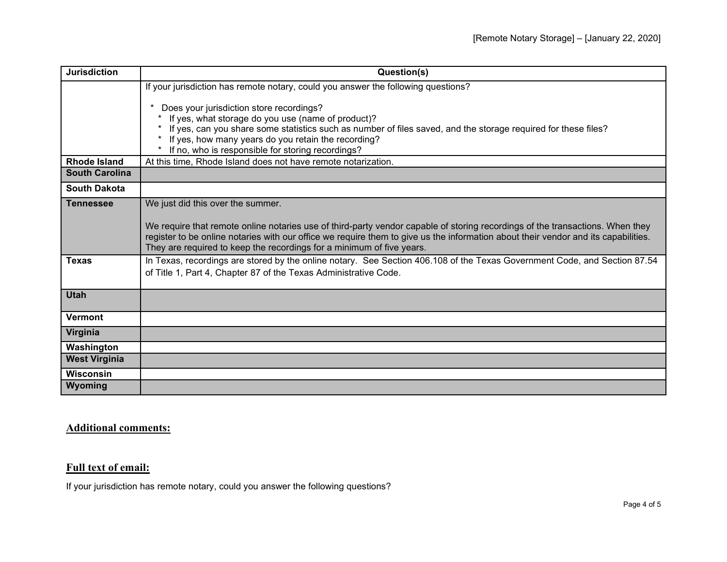| <b>Jurisdiction</b>   | Question(s)                                                                                                                                                                                                 |
|-----------------------|-------------------------------------------------------------------------------------------------------------------------------------------------------------------------------------------------------------|
|                       | If your jurisdiction has remote notary, could you answer the following questions?                                                                                                                           |
|                       |                                                                                                                                                                                                             |
|                       | Does your jurisdiction store recordings?<br>If yes, what storage do you use (name of product)?                                                                                                              |
|                       | If yes, can you share some statistics such as number of files saved, and the storage required for these files?                                                                                              |
|                       | If yes, how many years do you retain the recording?                                                                                                                                                         |
|                       | If no, who is responsible for storing recordings?                                                                                                                                                           |
| <b>Rhode Island</b>   | At this time, Rhode Island does not have remote notarization.                                                                                                                                               |
| <b>South Carolina</b> |                                                                                                                                                                                                             |
| <b>South Dakota</b>   |                                                                                                                                                                                                             |
| <b>Tennessee</b>      | We just did this over the summer.                                                                                                                                                                           |
|                       |                                                                                                                                                                                                             |
|                       | We require that remote online notaries use of third-party vendor capable of storing recordings of the transactions. When they                                                                               |
|                       | register to be online notaries with our office we require them to give us the information about their vendor and its capabilities.<br>They are required to keep the recordings for a minimum of five years. |
|                       |                                                                                                                                                                                                             |
| <b>Texas</b>          | In Texas, recordings are stored by the online notary. See Section 406.108 of the Texas Government Code, and Section 87.54                                                                                   |
|                       | of Title 1, Part 4, Chapter 87 of the Texas Administrative Code.                                                                                                                                            |
| <b>Utah</b>           |                                                                                                                                                                                                             |
|                       |                                                                                                                                                                                                             |
| <b>Vermont</b>        |                                                                                                                                                                                                             |
| Virginia              |                                                                                                                                                                                                             |
| Washington            |                                                                                                                                                                                                             |
| <b>West Virginia</b>  |                                                                                                                                                                                                             |
| <b>Wisconsin</b>      |                                                                                                                                                                                                             |
| Wyoming               |                                                                                                                                                                                                             |

## **Additional comments:**

## **Full text of email:**

If your jurisdiction has remote notary, could you answer the following questions?